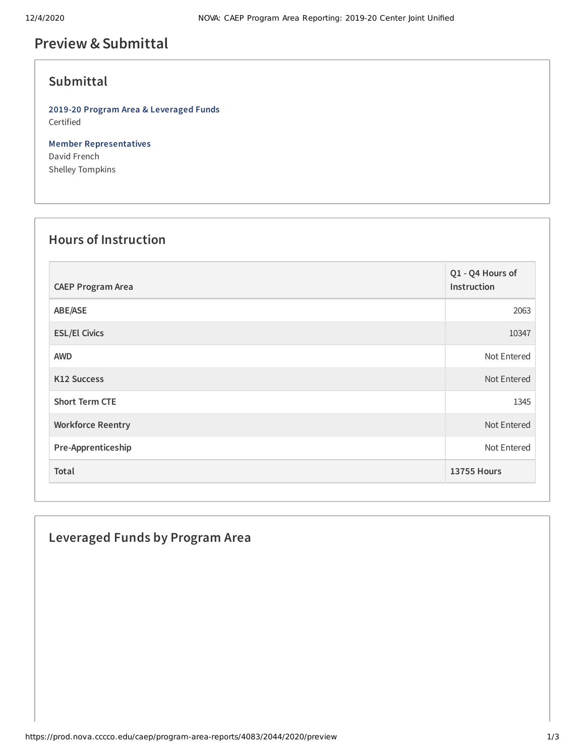## **Preview &Submittal**

## **Submittal**

**2019-20 Program Area & Leveraged Funds** Certified

**Member Representatives** David French Shelley Tompkins

## **Hours of Instruction**

| <b>CAEP Program Area</b> | Q1 - Q4 Hours of<br>Instruction |
|--------------------------|---------------------------------|
| ABE/ASE                  | 2063                            |
| <b>ESL/El Civics</b>     | 10347                           |
| <b>AWD</b>               | Not Entered                     |
| <b>K12 Success</b>       | Not Entered                     |
| <b>Short Term CTE</b>    | 1345                            |
| <b>Workforce Reentry</b> | Not Entered                     |
| Pre-Apprenticeship       | Not Entered                     |
| Total                    | <b>13755 Hours</b>              |

# **Leveraged Funds by Program Area**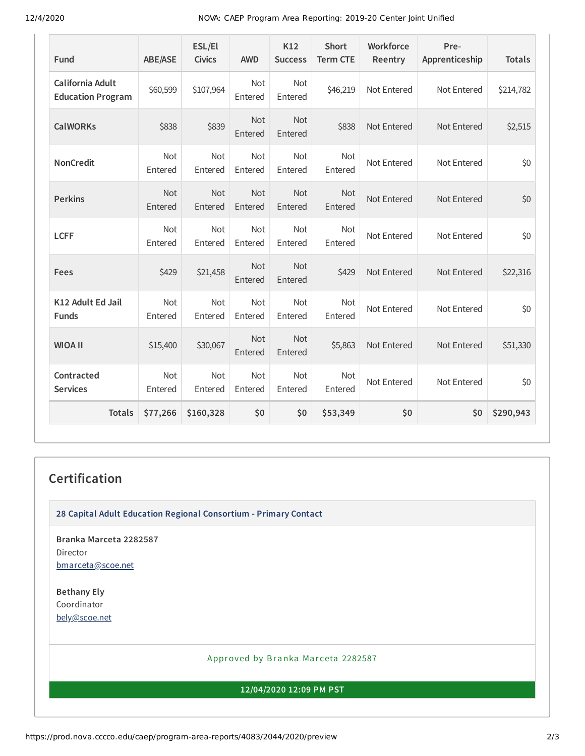12/4/2020 NOVA: CAEP Program Area Reporting: 2019-20 Center Joint Unified

| Fund                                         | <b>ABE/ASE</b> | ESL/El<br><b>Civics</b> | <b>AWD</b>            | K12<br><b>Success</b> | <b>Short</b><br><b>Term CTE</b> | Workforce<br>Reentry | Pre-<br>Apprenticeship | <b>Totals</b> |
|----------------------------------------------|----------------|-------------------------|-----------------------|-----------------------|---------------------------------|----------------------|------------------------|---------------|
| California Adult<br><b>Education Program</b> | \$60,599       | \$107,964               | Not<br>Entered        | Not<br>Entered        | \$46,219                        | Not Entered          | Not Entered            | \$214,782     |
| <b>CalWORKs</b>                              | \$838          | \$839                   | <b>Not</b><br>Entered | <b>Not</b><br>Entered | \$838                           | Not Entered          | Not Entered            | \$2,515       |
| <b>NonCredit</b>                             | Not<br>Entered | Not<br>Entered          | Not<br>Entered        | Not<br>Entered        | Not<br>Entered                  | Not Entered          | Not Entered            | \$0           |
| <b>Perkins</b>                               | Not<br>Entered | Not<br>Entered          | Not<br>Entered        | Not<br>Entered        | Not<br>Entered                  | Not Entered          | Not Entered            | \$0           |
| <b>LCFF</b>                                  | Not<br>Entered | Not<br>Entered          | Not<br>Entered        | Not<br>Entered        | Not<br>Entered                  | Not Entered          | Not Entered            | \$0           |
| Fees                                         | \$429          | \$21,458                | Not<br>Entered        | Not<br>Entered        | \$429                           | Not Entered          | Not Entered            | \$22,316      |
| K12 Adult Ed Jail<br><b>Funds</b>            | Not<br>Entered | Not<br>Entered          | Not<br>Entered        | Not<br>Entered        | Not<br>Entered                  | Not Entered          | Not Entered            | \$0           |
| <b>WIOA II</b>                               | \$15,400       | \$30,067                | <b>Not</b><br>Entered | Not<br>Entered        | \$5,863                         | Not Entered          | Not Entered            | \$51,330      |
| Contracted<br><b>Services</b>                | Not<br>Entered | Not<br>Entered          | Not<br>Entered        | Not<br>Entered        | Not<br>Entered                  | Not Entered          | Not Entered            | \$0           |
| <b>Totals</b>                                | \$77,266       | \$160,328               | \$0                   | \$0                   | \$53,349                        | \$0                  | \$0                    | \$290,943     |

## **Certification**

**28 Capital Adult Education Regional Consortium - Primary Contact**

**Branka Marceta 2282587** Director [bmarceta@scoe.net](mailto:bmarceta@scoe.net)

**Bethany Ely** Coordinator [bely@scoe.net](mailto:bely@scoe.net)

#### Approved by Branka Marceta 2282587

#### **12/04/2020 12:09 PM PST**